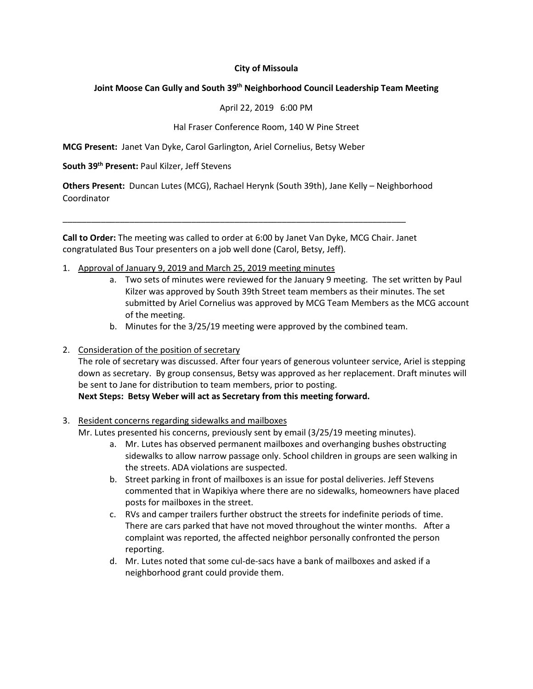### **City of Missoula**

### **Joint Moose Can Gully and South 39th Neighborhood Council Leadership Team Meeting**

#### April 22, 2019 6:00 PM

#### Hal Fraser Conference Room, 140 W Pine Street

**MCG Present:** Janet Van Dyke, Carol Garlington, Ariel Cornelius, Betsy Weber

#### **South 39th Present:** Paul Kilzer, Jeff Stevens

**Others Present:** Duncan Lutes (MCG), Rachael Herynk (South 39th), Jane Kelly – Neighborhood Coordinator

**Call to Order:** The meeting was called to order at 6:00 by Janet Van Dyke, MCG Chair. Janet congratulated Bus Tour presenters on a job well done (Carol, Betsy, Jeff).

\_\_\_\_\_\_\_\_\_\_\_\_\_\_\_\_\_\_\_\_\_\_\_\_\_\_\_\_\_\_\_\_\_\_\_\_\_\_\_\_\_\_\_\_\_\_\_\_\_\_\_\_\_\_\_\_\_\_\_\_\_\_\_\_\_\_\_\_\_\_\_\_

- 1. Approval of January 9, 2019 and March 25, 2019 meeting minutes
	- a. Two sets of minutes were reviewed for the January 9 meeting. The set written by Paul Kilzer was approved by South 39th Street team members as their minutes. The set submitted by Ariel Cornelius was approved by MCG Team Members as the MCG account of the meeting.
	- b. Minutes for the 3/25/19 meeting were approved by the combined team.
- 2. Consideration of the position of secretary

The role of secretary was discussed. After four years of generous volunteer service, Ariel is stepping down as secretary. By group consensus, Betsy was approved as her replacement. Draft minutes will be sent to Jane for distribution to team members, prior to posting.

### **Next Steps: Betsy Weber will act as Secretary from this meeting forward.**

### 3. Resident concerns regarding sidewalks and mailboxes

Mr. Lutes presented his concerns, previously sent by email (3/25/19 meeting minutes).

- a. Mr. Lutes has observed permanent mailboxes and overhanging bushes obstructing sidewalks to allow narrow passage only. School children in groups are seen walking in the streets. ADA violations are suspected.
- b. Street parking in front of mailboxes is an issue for postal deliveries. Jeff Stevens commented that in Wapikiya where there are no sidewalks, homeowners have placed posts for mailboxes in the street.
- c. RVs and camper trailers further obstruct the streets for indefinite periods of time. There are cars parked that have not moved throughout the winter months. After a complaint was reported, the affected neighbor personally confronted the person reporting.
- d. Mr. Lutes noted that some cul-de-sacs have a bank of mailboxes and asked if a neighborhood grant could provide them.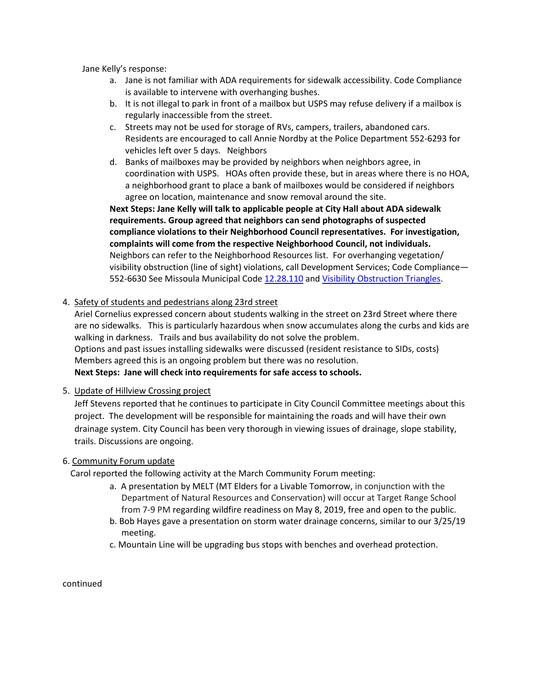Jane Kelly's response:

- a. Jane is not familiar with ADA requirements for sidewalk accessibility. Code Compliance is available to intervene with overhanging bushes.
- b. It is not illegal to park in front of a mailbox but USPS may refuse delivery if a mailbox is regularly inaccessible from the street.
- c. Streets may not be used for storage of RVs, campers, trailers, abandoned cars. Residents are encouraged to call Annie Nordby at the Police Department 552-6293 for vehicles left over 5 days. Neighbors
- d. Banks of mailboxes may be provided by neighbors when neighbors agree, in coordination with USPS. HOAs often provide these, but in areas where there is no HOA, a neighborhood grant to place a bank of mailboxes would be considered if neighbors agree on location, maintenance and snow removal around the site.

**Next Steps: Jane Kelly will talk to applicable people at City Hall about ADA sidewalk requirements. Group agreed that neighbors can send photographs of suspected compliance violations to their Neighborhood Council representatives. For investigation, complaints will come from the respective Neighborhood Council, not individuals.**  Neighbors can refer to the Neighborhood Resources list. For overhanging vegetation/ visibility obstruction (line of sight) violations, call Development Services; Code Compliance— 552-6630 See Missoula Municipal Code [12.28.110](https://www.ci.missoula.mt.us/DocumentCenter/View/36507/Municipal-Code-Title-12-Sts-Sdwlks--Pub-Places-PDF?bidId=) and Visibility Obstruction Triangles.

### 4. Safety of students and pedestrians along 23rd street

Ariel Cornelius expressed concern about students walking in the street on 23rd Street where there are no sidewalks. This is particularly hazardous when snow accumulates along the curbs and kids are walking in darkness. Trails and bus availability do not solve the problem. Options and past issues installing sidewalks were discussed (resident resistance to SIDs, costs) Members agreed this is an ongoing problem but there was no resolution.

**Next Steps: Jane will check into requirements for safe access to schools.**

### 5. Update of Hillview Crossing project

Jeff Stevens reported that he continues to participate in City Council Committee meetings about this project. The development will be responsible for maintaining the roads and will have their own drainage system. City Council has been very thorough in viewing issues of drainage, slope stability, trails. Discussions are ongoing.

### 6. Community Forum update

Carol reported the following activity at the March Community Forum meeting:

- a. A presentation by MELT (MT Elders for a Livable Tomorrow, in conjunction with the Department of Natural Resources and Conservation) will occur at Target Range School from 7-9 PM regarding wildfire readiness on May 8, 2019, free and open to the public.
- b. Bob Hayes gave a presentation on storm water drainage concerns, similar to our 3/25/19 meeting.
- c. Mountain Line will be upgrading bus stops with benches and overhead protection.

continued